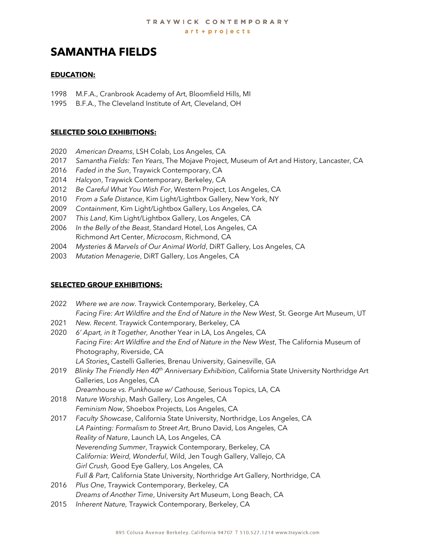# **SAMANTHA FIELDS**

# **EDUCATION:**

- 1998 M.F.A., Cranbrook Academy of Art, Bloomfield Hills, MI
- 1995 B.F.A., The Cleveland Institute of Art, Cleveland, OH

## **SELECTED SOLO EXHIBITIONS:**

- 2020 *American Dreams*, LSH Colab, Los Angeles, CA
- 2017 *Samantha Fields: Ten Years*, The Mojave Project, Museum of Art and History, Lancaster, CA
- 2016 *Faded in the Sun*, Traywick Contemporary, CA
- 2014 *Halcyon*, Traywick Contemporary, Berkeley, CA
- 2012 *Be Careful What You Wish For*, Western Project, Los Angeles, CA
- 2010 *From a Safe Distance*, Kim Light/Lightbox Gallery, New York, NY
- 2009 *Containment*, Kim Light/Lightbox Gallery, Los Angeles, CA
- 2007 *This Land*, Kim Light/Lightbox Gallery, Los Angeles, CA
- 2006 *In the Belly of the Beast*, Standard Hotel, Los Angeles, CA Richmond Art Center, *Microcosm*, Richmond, CA
- 2004 *Mysteries & Marvels of Our Animal World*, DiRT Gallery, Los Angeles, CA
- 2003 *Mutation Menagerie*, DiRT Gallery, Los Angeles, CA

# **SELECTED GROUP EXHIBITIONS:**

- 2022 *Where we are now*. Traywick Contemporary, Berkeley, CA *Facing Fire: Art Wildfire and the End of Nature in the New West*, St. George Art Museum, UT
- 2021 *New. Recent*. Traywick Contemporary, Berkeley, CA
- 2020 *6' Apart, in It Together,* Another Year in LA, Los Angeles, CA *Facing Fire: Art Wildfire and the End of Nature in the New West*, The California Museum of Photography, Riverside, CA *LA Stories*, Castelli Galleries, Brenau University, Gainesville, GA
- 2019 *Blinky The Friendly Hen 40th Anniversary Exhibition*, California State University Northridge Art Galleries, Los Angeles, CA *Dreamhouse vs. Punkhouse w/ Cathouse,* Serious Topics, LA, CA
- 2018 *Nature Worship*, Mash Gallery, Los Angeles, CA *Feminism Now*, Shoebox Projects, Los Angeles, CA
- 2017 *Faculty Showcase*, California State University, Northridge, Los Angeles, CA *LA Painting: Formalism to Street Art*, Bruno David, Los Angeles, CA *Reality of Nature*, Launch LA, Los Angeles, CA *Neverending Summer*, Traywick Contemporary, Berkeley, CA *California: Weird, Wonderful*, Wild, Jen Tough Gallery, Vallejo, CA *Girl Crush,* Good Eye Gallery, Los Angeles, CA *Full & Part*, California State University, Northridge Art Gallery, Northridge, CA
- 2016 *Plus One*, Traywick Contemporary, Berkeley, CA *Dreams of Another Time*, University Art Museum, Long Beach, CA
- 2015 *Inherent Nature,* Traywick Contemporary, Berkeley, CA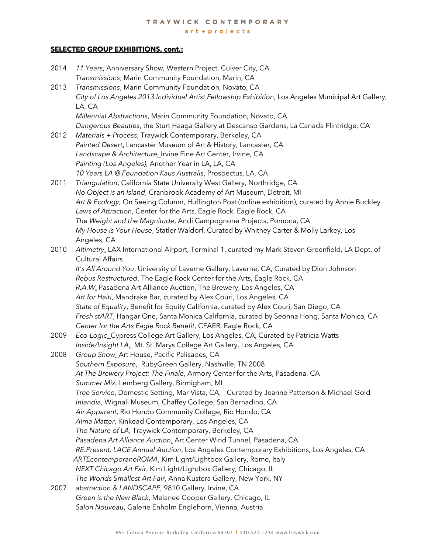# **SELECTED GROUP EXHIBITIONS, cont.:**

| 2014 | 11 Years, Anniversary Show, Western Project, Culver City, CA                                                          |
|------|-----------------------------------------------------------------------------------------------------------------------|
|      | Transmissions, Marin Community Foundation, Marin, CA                                                                  |
| 2013 | Transmissions, Marin Community Foundation, Novato, CA                                                                 |
|      | City of Los Angeles 2013 Individual Artist Fellowship Exhibition, Los Angeles Municipal Art Gallery,<br>LA, CA        |
|      | Millennial Abstractions, Marin Community Foundation, Novato, CA                                                       |
|      | Dangerous Beauties, the Sturt Haaga Gallery at Descanso Gardens, La Canada Flintridge, CA                             |
| 2012 | Materials + Process, Traywick Contemporary, Berkeley, CA                                                              |
|      | Painted Desert, Lancaster Museum of Art & History, Lancaster, CA                                                      |
|      | Landscape & Architecture_Irvine Fine Art Center, Irvine, CA                                                           |
|      | Painting (Los Angeles), Another Year in LA, LA, CA                                                                    |
|      | 10 Years LA @ Foundation Kaus Australis, Prospectus, LA, CA                                                           |
| 2011 | Triangulation, California State University West Gallery, Northridge, CA                                               |
|      | No Object is an Island, Cranbrook Academy of Art Museum, Detroit, MI                                                  |
|      | Art & Ecology, On Seeing Column, Huffington Post (online exhibition), curated by Annie Buckley                        |
|      | Laws of Attraction, Center for the Arts, Eagle Rock, Eagle Rock, CA                                                   |
|      | The Weight and the Magnitude, Andi Campognone Projects, Pomona, CA                                                    |
|      | My House is Your House, Statler Waldorf, Curated by Whitney Carter & Molly Larkey, Los                                |
|      | Angeles, CA                                                                                                           |
| 2010 | Altimetry, LAX International Airport, Terminal 1, curated my Mark Steven Greenfield, LA Dept. of                      |
|      | <b>Cultural Affairs</b>                                                                                               |
|      | It's All Around You_University of Laverne Gallery, Laverne, CA, Curated by Dion Johnson                               |
|      | Rebus Restructured, The Eagle Rock Center for the Arts, Eagle Rock, CA                                                |
|      | R.A.W. Pasadena Art Alliance Auction, The Brewery, Los Angeles, CA                                                    |
|      | Art for Haiti, Mandrake Bar, curated by Alex Couri, Los Angeles, CA                                                   |
|      | State of Equality, Benefit for Equity California, curated by Alex Couri, San Diego, CA                                |
|      | Fresh stART, Hangar One, Santa Monica California, curated by Seonna Hong, Santa Monica, CA                            |
|      | Center for the Arts Eagle Rock Benefit, CFAER, Eagle Rock, CA                                                         |
| 2009 | Eco-Logic_Cypress College Art Gallery, Los Angeles, CA, Curated by Patricia Watts                                     |
|      | Inside/Insight LA_ Mt. St. Marys College Art Gallery, Los Angeles, CA                                                 |
| 2008 | Group Show_Art House, Pacific Palisades, CA                                                                           |
|      | Southern Exposure, RubyGreen Gallery, Nashville, TN 2008                                                              |
|      | At The Brewery Project: The Finale, Armory Center for the Arts, Pasadena, CA                                          |
|      | Summer Mix, Lemberg Gallery, Birmigham, MI                                                                            |
|      | Tree Service, Domestic Setting, Mar Vista, CA, Curated by Jeanne Patterson & Michael Gold                             |
|      | Inlandia, Wignall Museum, Chaffey College, San Bernadino, CA                                                          |
|      | Air Apparent, Rio Hondo Community College, Rio Hondo, CA                                                              |
|      | Alma Matter, Kinkead Contemporary, Los Angeles, CA                                                                    |
|      | The Nature of LA, Traywick Contemporary, Berkeley, CA                                                                 |
|      | Pasadena Art Alliance Auction, Art Center Wind Tunnel, Pasadena, CA                                                   |
|      | RE:Present, LACE Annual Auction, Los Angeles Contemporary Exhibitions, Los Angeles, CA                                |
|      | ARTEcontemporaneROMA, Kim Light/Lightbox Gallery, Rome, Italy                                                         |
|      | NEXT Chicago Art Fair, Kim Light/Lightbox Gallery, Chicago, IL                                                        |
| 2007 | The Worlds Smallest Art Fair, Anna Kustera Gallery, New York, NY<br>abstraction & LANDSCAPE, 9810 Gallery, Irvine, CA |
|      | Green is the New Black, Melanee Cooper Gallery, Chicago, IL                                                           |
|      | Salon Nouveau, Galerie Enholm Englehorn, Vienna, Austria                                                              |
|      |                                                                                                                       |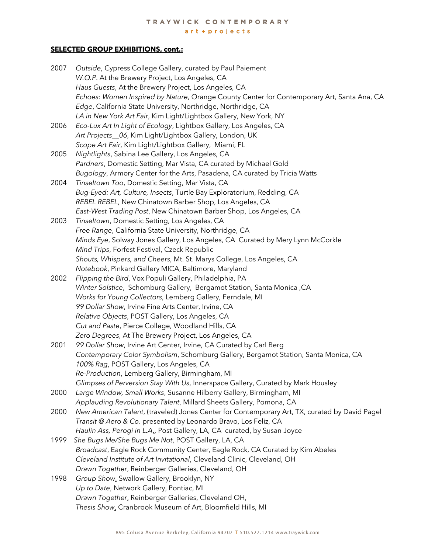# **SELECTED GROUP EXHIBITIONS, cont.:**

| 2007 | Outside, Cypress College Gallery, curated by Paul Paiement                                    |
|------|-----------------------------------------------------------------------------------------------|
|      | W.O.P. At the Brewery Project, Los Angeles, CA                                                |
|      | Haus Guests, At the Brewery Project, Los Angeles, CA                                          |
|      | Echoes: Women Inspired by Nature, Orange County Center for Contemporary Art, Santa Ana, CA    |
|      | Edge, California State University, Northridge, Northridge, CA                                 |
|      | LA in New York Art Fair, Kim Light/Lightbox Gallery, New York, NY                             |
| 2006 | Eco-Lux Art In Light of Ecology, Lightbox Gallery, Los Angeles, CA                            |
|      | Art Projects_06, Kim Light/Lightbox Gallery, London, UK                                       |
|      | Scope Art Fair, Kim Light/Lightbox Gallery, Miami, FL                                         |
| 2005 | Nightlights, Sabina Lee Gallery, Los Angeles, CA                                              |
|      | Pardners, Domestic Setting, Mar Vista, CA curated by Michael Gold                             |
|      | Bugology, Armory Center for the Arts, Pasadena, CA curated by Tricia Watts                    |
| 2004 | Tinseltown Too, Domestic Setting, Mar Vista, CA                                               |
|      | Bug-Eyed: Art, Culture, Insects, Turtle Bay Exploratorium, Redding, CA                        |
|      | REBEL REBEL, New Chinatown Barber Shop, Los Angeles, CA                                       |
|      | East-West Trading Post, New Chinatown Barber Shop, Los Angeles, CA                            |
| 2003 | Tinseltown, Domestic Setting, Los Angeles, CA                                                 |
|      | Free Range, California State University, Northridge, CA                                       |
|      | Minds Eye, Solway Jones Gallery, Los Angeles, CA Curated by Mery Lynn McCorkle                |
|      | Mind Trips, Forfest Festival, Czeck Republic                                                  |
|      | Shouts, Whispers, and Cheers, Mt. St. Marys College, Los Angeles, CA                          |
|      | Notebook, Pinkard Gallery MICA, Baltimore, Maryland                                           |
| 2002 | Flipping the Bird, Vox Populi Gallery, Philadelphia, PA                                       |
|      | Winter Solstice, Schomburg Gallery, Bergamot Station, Santa Monica, CA                        |
|      | Works for Young Collectors, Lemberg Gallery, Ferndale, MI                                     |
|      | 99 Dollar Show, Irvine Fine Arts Center, Irvine, CA                                           |
|      | Relative Objects, POST Gallery, Los Angeles, CA                                               |
|      | Cut and Paste, Pierce College, Woodland Hills, CA                                             |
|      | Zero Degrees, At The Brewery Project, Los Angeles, CA                                         |
| 2001 | 99 Dollar Show, Irvine Art Center, Irvine, CA Curated by Carl Berg                            |
|      | Contemporary Color Symbolism, Schomburg Gallery, Bergamot Station, Santa Monica, CA           |
|      | 100% Rag, POST Gallery, Los Angeles, CA                                                       |
|      | Re-Production, Lemberg Gallery, Birmingham, MI                                                |
|      | Glimpses of Perversion Stay With Us, Innerspace Gallery, Curated by Mark Housley              |
| 2000 | Large Window, Small Works, Susanne Hilberry Gallery, Birmingham, MI                           |
|      | Applauding Revolutionary Talent, Millard Sheets Gallery, Pomona, CA                           |
| 2000 | New American Talent, (traveled) Jones Center for Contemporary Art, TX, curated by David Pagel |
|      | Transit @ Aero & Co. presented by Leonardo Bravo, Los Feliz, CA                               |
|      | Haulin Ass, Perogi in L.A., Post Gallery, LA, CA curated, by Susan Joyce                      |
| 1999 | She Bugs Me/She Bugs Me Not, POST Gallery, LA, CA                                             |
|      | Broadcast, Eagle Rock Community Center, Eagle Rock, CA Curated by Kim Abeles                  |
|      | Cleveland Institute of Art Invitational, Cleveland Clinic, Cleveland, OH                      |
|      | Drawn Together, Reinberger Galleries, Cleveland, OH                                           |
| 1998 | Group Show, Swallow Gallery, Brooklyn, NY                                                     |
|      | Up to Date, Network Gallery, Pontiac, MI                                                      |
|      | Drawn Together, Reinberger Galleries, Cleveland OH,                                           |
|      | Thesis Show, Cranbrook Museum of Art, Bloomfield Hills, MI                                    |
|      |                                                                                               |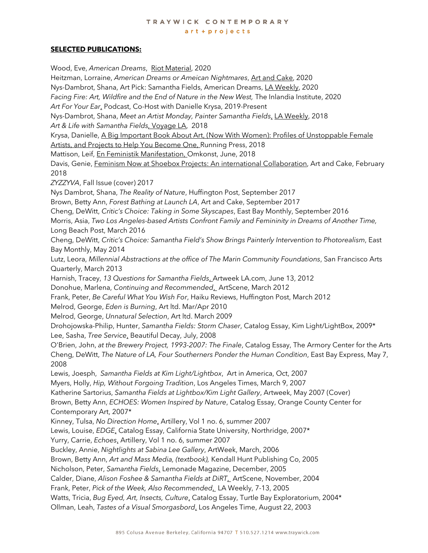#### TRAYWICK CONTEMPORARY art + projects

## **SELECTED PUBLICATIONS:**

Wood, Eve, *American Dreams*, Riot Material, 2020 Heitzman, Lorraine, *American Dreams or Ameican Nightmares*, Art and Cake, 2020 Nys-Dambrot, Shana, Art Pick: Samantha Fields, American Dreams, LA Weekly, 2020 *Facing Fire: Art, Wildfire and the End of Nature in the New West,* The Inlandia Institute, 2020 *Art For Your Ear*, Podcast, Co-Host with Danielle Krysa, 2019-Present Nys-Dambrot, Shana, *Meet an Artist Monday, Painter Samantha Fields*, LA Weekly, 2018 *Art & Life with Samantha Fields,* Voyage LA, 2018 Krysa, Danielle, A Big Important Book About Art, (Now With Women): Profiles of Unstoppable Female Artists, and Projects to Help You Become One, Running Press, 2018 Mattison, Leif, En Feministik Manifestation, Omkonst, June, 2018 Davis, Genie, Feminism Now at Shoebox Projects: An international Collaboration, Art and Cake, February 2018 *ZYZZYVA*, Fall Issue (cover) 2017 Nys Dambrot, Shana, *The Reality of Nature*, Huffington Post, September 2017 Brown, Betty Ann, *Forest Bathing at Launch LA*, Art and Cake, September 2017 Cheng, DeWitt, *Critic's Choice: Taking in Some Skyscapes*, East Bay Monthly, September 2016 Morris, Asia, *Two Los Angeles-based Artists Confront Family and Femininity in Dreams of Another Time,*  Long Beach Post, March 2016 Cheng, DeWitt, *Critic's Choice: Samantha Field's Show Brings Painterly Intervention to Photorealism*, East Bay Monthly, May 2014 Lutz, Leora, *Millennial Abstractions at the office of The Marin Community Foundations*, San Francisco Arts Quarterly, March 2013 Harnish, Tracey, *13 Questions for Samantha Fields*, Artweek LA.com, June 13, 2012 Donohue, Marlena, *Continuing and Recommended*, ArtScene, March 2012 Frank, Peter, *Be Careful What You Wish For*, Haiku Reviews, Huffington Post, March 2012 Melrod, George, *Eden is Burning*, Art ltd. Mar/Apr 2010 Melrod, George, *Unnatural Selection*, Art ltd. March 2009 Drohojowska-Philip, Hunter, *Samantha Fields: Storm Chaser*, Catalog Essay, Kim Light/LightBox, 2009\* Lee, Sasha, *Tree Service*, Beautiful Decay, July, 2008 O'Brien, John, *at the Brewery Project, 1993-2007: The Finale*, Catalog Essay, The Armory Center for the Arts Cheng, DeWitt, *The Nature of LA, Four Southerners Ponder the Human Condition*, East Bay Express, May 7, 2008 Lewis, Joesph, *Samantha Fields at Kim Light/Lightbox*, Art in America, Oct, 2007 Myers, Holly, *Hip, Without Forgoing Tradition*, Los Angeles Times, March 9, 2007 Katherine Sartorius, *Samantha Fields at Lightbox/Kim Light Gallery*, Artweek, May 2007 (Cover) Brown, Betty Ann, *ECHOES: Women Inspired by Nature*, Catalog Essay, Orange County Center for Contemporary Art, 2007\* Kinney, Tulsa, *No Direction Home*, Artillery, Vol 1 no. 6, summer 2007 Lewis, Louise, *EDGE*, Catalog Essay, California State University, Northridge, 2007\* Yurry, Carrie, *Echoes*, Artillery, Vol 1 no. 6, summer 2007 Buckley, Annie, *Nightlights at Sabina Lee Gallery*, ArtWeek, March, 2006 Brown, Betty Ann, *Art and Mass Media, (textbook),* Kendall Hunt Publishing Co, 2005 Nicholson, Peter, *Samantha Fields*, Lemonade Magazine, December, 2005 Calder, Diane, *Alison Foshee & Samantha Fields at DiRT*, ArtScene, November, 2004 Frank, Peter, *Pick of the Week, Also Recommended*, LA Weekly, 7-13, 2005 Watts, Tricia, *Bug Eyed, Art, Insects, Culture*, Catalog Essay, Turtle Bay Exploratorium, 2004\* Ollman, Leah, *Tastes of a Visual Smorgasbord*, Los Angeles Time, August 22, 2003